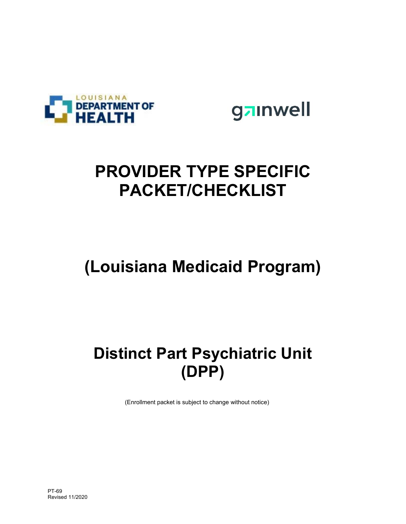

gainwell

## **PROVIDER TYPE SPECIFIC PACKET/CHECKLIST**

## **(Louisiana Medicaid Program)**

## **Distinct Part Psychiatric Unit (DPP)**

(Enrollment packet is subject to change without notice)